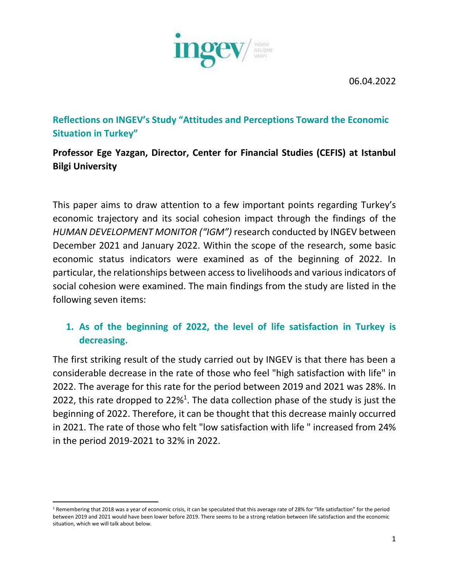06.04.2022



**Reflections on INGEV's Study "Attitudes and Perceptions Toward the Economic Situation in Turkey"** 

# **Professor Ege Yazgan, Director, Center for Financial Studies (CEFIS) at Istanbul Bilgi University**

This paper aims to draw attention to a few important points regarding Turkey's economic trajectory and its social cohesion impact through the findings of the *HUMAN DEVELOPMENT MONITOR ("IGM")* research conducted by INGEV between December 2021 and January 2022. Within the scope of the research, some basic economic status indicators were examined as of the beginning of 2022. In particular, the relationships between access to livelihoods and various indicators of social cohesion were examined. The main findings from the study are listed in the following seven items:

## **1. As of the beginning of 2022, the level of life satisfaction in Turkey is decreasing.**

The first striking result of the study carried out by INGEV is that there has been a considerable decrease in the rate of those who feel "high satisfaction with life" in 2022. The average for this rate for the period between 2019 and 2021 was 28%. In 2022, this rate dropped to  $22\%$ <sup>1</sup>. The data collection phase of the study is just the beginning of 2022. Therefore, it can be thought that this decrease mainly occurred in 2021. The rate of those who felt "low satisfaction with life " increased from 24% in the period 2019-2021 to 32% in 2022.

<sup>&</sup>lt;sup>1</sup> Remembering that 2018 was a year of economic crisis, it can be speculated that this average rate of 28% for "life satisfaction" for the period between 2019 and 2021 would have been lower before 2019. There seems to be a strong relation between life satisfaction and the economic situation, which we will talk about below.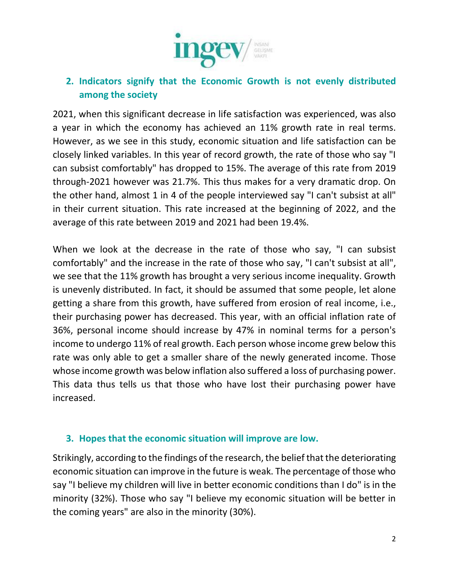

#### **2. Indicators signify that the Economic Growth is not evenly distributed among the society**

2021, when this significant decrease in life satisfaction was experienced, was also a year in which the economy has achieved an 11% growth rate in real terms. However, as we see in this study, economic situation and life satisfaction can be closely linked variables. In this year of record growth, the rate of those who say "I can subsist comfortably" has dropped to 15%. The average of this rate from 2019 through-2021 however was 21.7%. This thus makes for a very dramatic drop. On the other hand, almost 1 in 4 of the people interviewed say "I can't subsist at all" in their current situation. This rate increased at the beginning of 2022, and the average of this rate between 2019 and 2021 had been 19.4%.

When we look at the decrease in the rate of those who say, "I can subsist comfortably" and the increase in the rate of those who say, "I can't subsist at all", we see that the 11% growth has brought a very serious income inequality. Growth is unevenly distributed. In fact, it should be assumed that some people, let alone getting a share from this growth, have suffered from erosion of real income, i.e., their purchasing power has decreased. This year, with an official inflation rate of 36%, personal income should increase by 47% in nominal terms for a person's income to undergo 11% of real growth. Each person whose income grew below this rate was only able to get a smaller share of the newly generated income. Those whose income growth was below inflation also suffered a loss of purchasing power. This data thus tells us that those who have lost their purchasing power have increased.

#### **3. Hopes that the economic situation will improve are low.**

Strikingly, according to the findings of the research, the belief that the deteriorating economic situation can improve in the future is weak. The percentage of those who say "I believe my children will live in better economic conditions than I do" is in the minority (32%). Those who say "I believe my economic situation will be better in the coming years" are also in the minority (30%).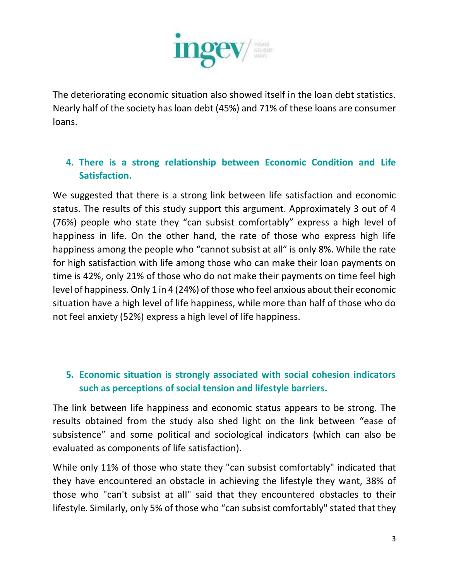

The deteriorating economic situation also showed itself in the loan debt statistics. Nearly half of the society has loan debt (45%) and 71% of these loans are consumer loans.

## **4. There is a strong relationship between Economic Condition and Life Satisfaction.**

We suggested that there is a strong link between life satisfaction and economic status. The results of this study support this argument. Approximately 3 out of 4 (76%) people who state they "can subsist comfortably" express a high level of happiness in life. On the other hand, the rate of those who express high life happiness among the people who "cannot subsist at all" is only 8%. While the rate for high satisfaction with life among those who can make their loan payments on time is 42%, only 21% of those who do not make their payments on time feel high level of happiness. Only 1 in 4 (24%) of those who feel anxious about their economic situation have a high level of life happiness, while more than half of those who do not feel anxiety (52%) express a high level of life happiness.

#### **5. Economic situation is strongly associated with social cohesion indicators such as perceptions of social tension and lifestyle barriers.**

The link between life happiness and economic status appears to be strong. The results obtained from the study also shed light on the link between "ease of subsistence" and some political and sociological indicators (which can also be evaluated as components of life satisfaction).

While only 11% of those who state they "can subsist comfortably" indicated that they have encountered an obstacle in achieving the lifestyle they want, 38% of those who "can't subsist at all" said that they encountered obstacles to their lifestyle. Similarly, only 5% of those who "can subsist comfortably" stated that they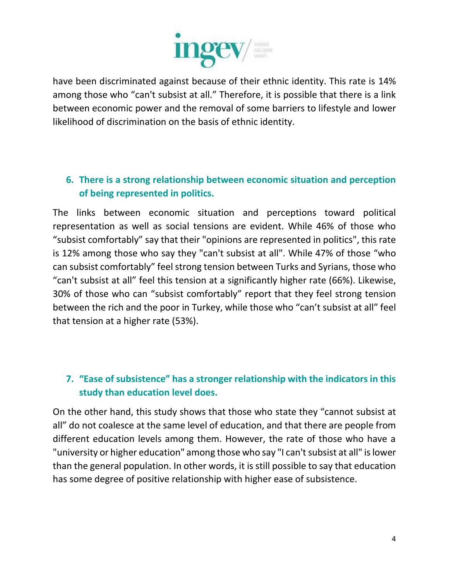

have been discriminated against because of their ethnic identity. This rate is 14% among those who "can't subsist at all." Therefore, it is possible that there is a link between economic power and the removal of some barriers to lifestyle and lower likelihood of discrimination on the basis of ethnic identity.

## **6. There is a strong relationship between economic situation and perception of being represented in politics.**

The links between economic situation and perceptions toward political representation as well as social tensions are evident. While 46% of those who "subsist comfortably" say that their "opinions are represented in politics", this rate is 12% among those who say they "can't subsist at all". While 47% of those "who can subsist comfortably" feel strong tension between Turks and Syrians, those who "can't subsist at all" feel this tension at a significantly higher rate (66%). Likewise, 30% of those who can "subsist comfortably" report that they feel strong tension between the rich and the poor in Turkey, while those who "can't subsist at all" feel that tension at a higher rate (53%).

# **7. "Ease of subsistence" has a stronger relationship with the indicators in this study than education level does.**

On the other hand, this study shows that those who state they "cannot subsist at all" do not coalesce at the same level of education, and that there are people from different education levels among them. However, the rate of those who have a "university or higher education" among those who say "I can't subsist at all" is lower than the general population. In other words, it is still possible to say that education has some degree of positive relationship with higher ease of subsistence.